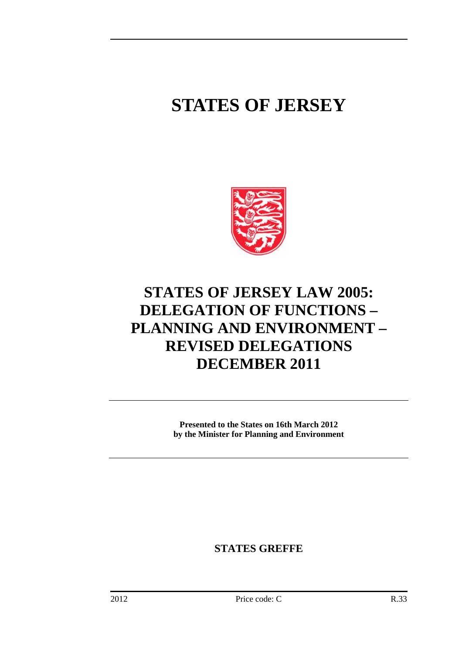# **STATES OF JERSEY**



# **STATES OF JERSEY LAW 2005: DELEGATION OF FUNCTIONS – PLANNING AND ENVIRONMENT – REVISED DELEGATIONS DECEMBER 2011**

**Presented to the States on 16th March 2012 by the Minister for Planning and Environment** 

**STATES GREFFE**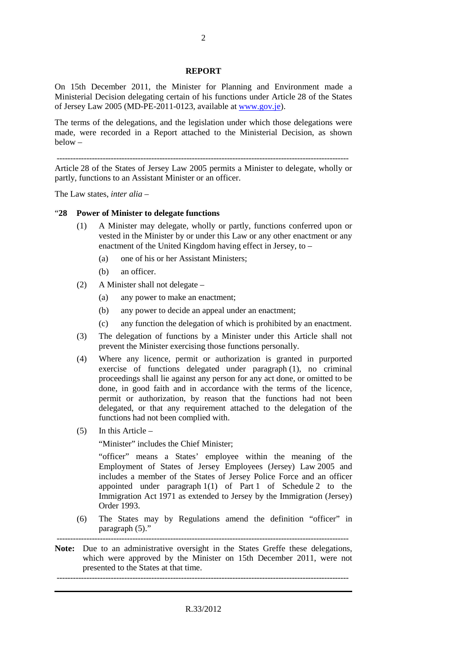#### **REPORT**

On 15th December 2011, the Minister for Planning and Environment made a Ministerial Decision delegating certain of his functions under Article 28 of the States of Jersey Law 2005 (MD-PE-2011-0123, available at www.gov.je).

The terms of the delegations, and the legislation under which those delegations were made, were recorded in a Report attached to the Ministerial Decision, as shown below –

------------------------------------------------------------------------------------------------------------

Article 28 of the States of Jersey Law 2005 permits a Minister to delegate, wholly or partly, functions to an Assistant Minister or an officer.

The Law states, *inter alia* –

#### "**28 Power of Minister to delegate functions**

- (1) A Minister may delegate, wholly or partly, functions conferred upon or vested in the Minister by or under this Law or any other enactment or any enactment of the United Kingdom having effect in Jersey, to –
	- (a) one of his or her Assistant Ministers;
	- (b) an officer.
- (2) A Minister shall not delegate
	- (a) any power to make an enactment;
	- (b) any power to decide an appeal under an enactment;
	- (c) any function the delegation of which is prohibited by an enactment.
- (3) The delegation of functions by a Minister under this Article shall not prevent the Minister exercising those functions personally.
- (4) Where any licence, permit or authorization is granted in purported exercise of functions delegated under paragraph (1), no criminal proceedings shall lie against any person for any act done, or omitted to be done, in good faith and in accordance with the terms of the licence, permit or authorization, by reason that the functions had not been delegated, or that any requirement attached to the delegation of the functions had not been complied with.
- (5) In this Article –

"Minister" includes the Chief Minister;

"officer" means a States' employee within the meaning of the Employment of States of Jersey Employees (Jersey) Law 2005 and includes a member of the States of Jersey Police Force and an officer appointed under paragraph 1(1) of Part 1 of Schedule 2 to the Immigration Act 1971 as extended to Jersey by the Immigration (Jersey) Order 1993.

(6) The States may by Regulations amend the definition "officer" in paragraph (5)."

------------------------------------------------------------------------------------------------------------

**Note:** Due to an administrative oversight in the States Greffe these delegations, which were approved by the Minister on 15th December 2011, were not presented to the States at that time.

------------------------------------------------------------------------------------------------------------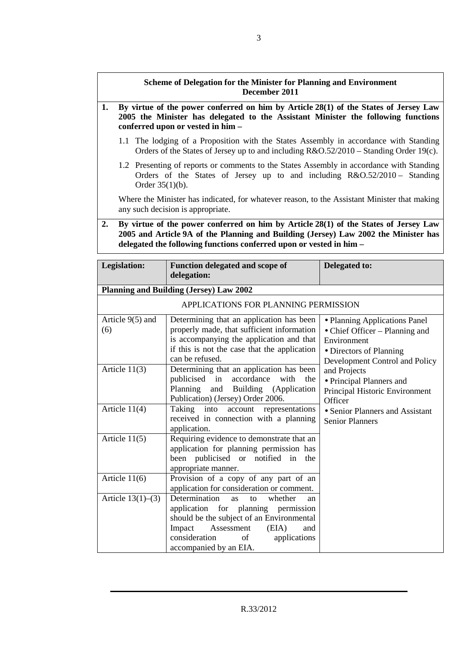## **Scheme of Delegation for the Minister for Planning and Environment December 2011**

- **1. By virtue of the power conferred on him by Article 28(1) of the States of Jersey Law 2005 the Minister has delegated to the Assistant Minister the following functions conferred upon or vested in him –** 
	- 1.1 The lodging of a Proposition with the States Assembly in accordance with Standing Orders of the States of Jersey up to and including R&O.52/2010 – Standing Order 19(c).
	- 1.2 Presenting of reports or comments to the States Assembly in accordance with Standing Orders of the States of Jersey up to and including R&O.52/2010 – Standing Order 35(1)(b).

 Where the Minister has indicated, for whatever reason, to the Assistant Minister that making any such decision is appropriate.

**2. By virtue of the power conferred on him by Article 28(1) of the States of Jersey Law 2005 and Article 9A of the Planning and Building (Jersey) Law 2002 the Minister has delegated the following functions conferred upon or vested in him –**

| Legislation:              | Function delegated and scope of<br>delegation:                                                                                                                                                                                                 | Delegated to:                                                                                                                               |
|---------------------------|------------------------------------------------------------------------------------------------------------------------------------------------------------------------------------------------------------------------------------------------|---------------------------------------------------------------------------------------------------------------------------------------------|
|                           | <b>Planning and Building (Jersey) Law 2002</b>                                                                                                                                                                                                 |                                                                                                                                             |
|                           | APPLICATIONS FOR PLANNING PERMISSION                                                                                                                                                                                                           |                                                                                                                                             |
| Article $9(5)$ and<br>(6) | Determining that an application has been<br>properly made, that sufficient information<br>is accompanying the application and that<br>if this is not the case that the application<br>can be refused.                                          | • Planning Applications Panel<br>• Chief Officer – Planning and<br>Environment<br>• Directors of Planning<br>Development Control and Policy |
| Article $11(3)$           | Determining that an application has been<br>publicised in accordance<br>with<br>the<br>Planning<br>and Building (Application<br>Publication) (Jersey) Order 2006.                                                                              | and Projects<br>• Principal Planners and<br>Principal Historic Environment<br>Officer                                                       |
| Article $11(4)$           | Taking into<br>account<br>representations<br>received in connection with a planning<br>application.                                                                                                                                            | • Senior Planners and Assistant<br><b>Senior Planners</b>                                                                                   |
| Article $11(5)$           | Requiring evidence to demonstrate that an<br>application for planning permission has<br>been publicised or notified in<br>the<br>appropriate manner.                                                                                           |                                                                                                                                             |
| Article $11(6)$           | Provision of a copy of any part of an<br>application for consideration or comment.                                                                                                                                                             |                                                                                                                                             |
| Article $13(1)–(3)$       | Determination<br>whether<br><b>as</b><br>to<br>an<br>application for planning permission<br>should be the subject of an Environmental<br>Assessment<br>(EIA)<br>Impact<br>and<br>consideration<br>of<br>applications<br>accompanied by an EIA. |                                                                                                                                             |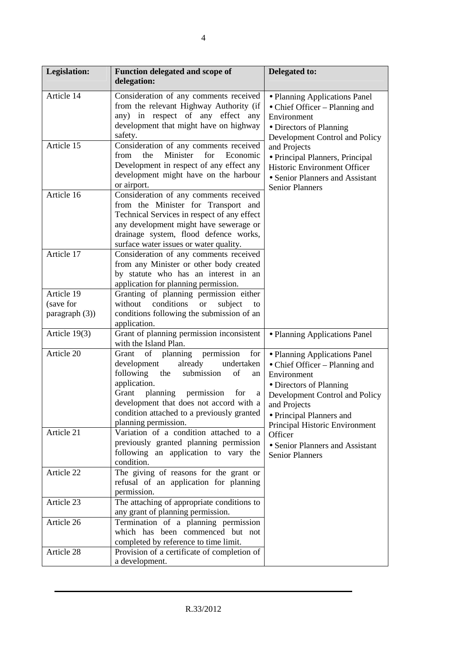| <b>Legislation:</b>     | Function delegated and scope of<br>delegation:                                                                                                                                                                                                                                                               | Delegated to:                                                                                                                                                                                                             |
|-------------------------|--------------------------------------------------------------------------------------------------------------------------------------------------------------------------------------------------------------------------------------------------------------------------------------------------------------|---------------------------------------------------------------------------------------------------------------------------------------------------------------------------------------------------------------------------|
| Article 14              | Consideration of any comments received<br>from the relevant Highway Authority (if<br>any) in respect of any effect any<br>development that might have on highway<br>safety.                                                                                                                                  | • Planning Applications Panel<br>• Chief Officer – Planning and<br>Environment<br>• Directors of Planning<br>Development Control and Policy                                                                               |
| Article 15              | Consideration of any comments received<br>for<br>the<br>Minister<br>Economic<br>from<br>Development in respect of any effect any<br>development might have on the harbour<br>or airport.                                                                                                                     | and Projects<br>· Principal Planners, Principal<br><b>Historic Environment Officer</b><br>• Senior Planners and Assistant<br><b>Senior Planners</b>                                                                       |
| Article 16              | Consideration of any comments received<br>from the Minister for Transport and<br>Technical Services in respect of any effect<br>any development might have sewerage or<br>drainage system, flood defence works,<br>surface water issues or water quality.                                                    |                                                                                                                                                                                                                           |
| Article 17              | Consideration of any comments received<br>from any Minister or other body created<br>by statute who has an interest in an<br>application for planning permission.                                                                                                                                            |                                                                                                                                                                                                                           |
| Article 19<br>(save for | Granting of planning permission either<br>conditions<br>without<br><b>or</b><br>subject<br>to                                                                                                                                                                                                                |                                                                                                                                                                                                                           |
| paragraph $(3)$ )       | conditions following the submission of an<br>application.                                                                                                                                                                                                                                                    |                                                                                                                                                                                                                           |
| Article 19(3)           | Grant of planning permission inconsistent<br>with the Island Plan.                                                                                                                                                                                                                                           | • Planning Applications Panel                                                                                                                                                                                             |
| Article 20              | of<br>planning permission<br>for<br>Grant<br>already<br>development<br>undertaken<br>following<br>the<br>submission<br>of<br>an<br>application.<br>Grant<br>planning permission<br>for<br>a<br>development that does not accord with a<br>condition attached to a previously granted<br>planning permission. | · Planning Applications Panel<br>• Chief Officer – Planning and<br>Environment<br>• Directors of Planning<br>Development Control and Policy<br>and Projects<br>• Principal Planners and<br>Principal Historic Environment |
| Article 21              | Variation of a condition attached to a<br>previously granted planning permission<br>following an application to vary the<br>condition.                                                                                                                                                                       | Officer<br>• Senior Planners and Assistant<br><b>Senior Planners</b>                                                                                                                                                      |
| Article 22              | The giving of reasons for the grant or<br>refusal of an application for planning<br>permission.                                                                                                                                                                                                              |                                                                                                                                                                                                                           |
| Article 23              | The attaching of appropriate conditions to<br>any grant of planning permission.                                                                                                                                                                                                                              |                                                                                                                                                                                                                           |
| Article 26              | Termination of a planning permission<br>which has been commenced but not<br>completed by reference to time limit.                                                                                                                                                                                            |                                                                                                                                                                                                                           |
| Article 28              | Provision of a certificate of completion of<br>a development.                                                                                                                                                                                                                                                |                                                                                                                                                                                                                           |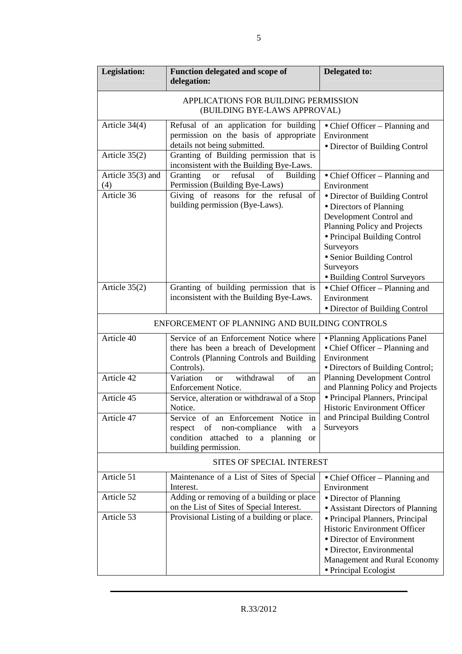| <b>Legislation:</b>                                                                                                   | Function delegated and scope of<br>delegation:                                                                                                                  | Delegated to:                                                                                                                                                                                                                               |  |
|-----------------------------------------------------------------------------------------------------------------------|-----------------------------------------------------------------------------------------------------------------------------------------------------------------|---------------------------------------------------------------------------------------------------------------------------------------------------------------------------------------------------------------------------------------------|--|
| APPLICATIONS FOR BUILDING PERMISSION<br>(BUILDING BYE-LAWS APPROVAL)                                                  |                                                                                                                                                                 |                                                                                                                                                                                                                                             |  |
| Article 34(4)                                                                                                         | Refusal of an application for building<br>permission on the basis of appropriate<br>details not being submitted.                                                | • Chief Officer – Planning and<br>Environment<br>• Director of Building Control                                                                                                                                                             |  |
| Article 35(2)                                                                                                         | Granting of Building permission that is<br>inconsistent with the Building Bye-Laws.                                                                             |                                                                                                                                                                                                                                             |  |
| Article 35(3) and<br>(4)                                                                                              | Granting<br>refusal<br>of<br><b>Building</b><br><b>or</b><br>Permission (Building Bye-Laws)                                                                     | • Chief Officer – Planning and<br>Environment                                                                                                                                                                                               |  |
| Article 36                                                                                                            | Giving of reasons for the refusal of<br>building permission (Bye-Laws).                                                                                         | • Director of Building Control<br>• Directors of Planning<br>Development Control and<br>Planning Policy and Projects<br>• Principal Building Control<br>Surveyors<br>· Senior Building Control<br>Surveyors<br>· Building Control Surveyors |  |
| Granting of building permission that is<br>Article $35(2)$<br>inconsistent with the Building Bye-Laws.<br>Environment |                                                                                                                                                                 | • Chief Officer – Planning and<br>· Director of Building Control                                                                                                                                                                            |  |
|                                                                                                                       | ENFORCEMENT OF PLANNING AND BUILDING CONTROLS                                                                                                                   |                                                                                                                                                                                                                                             |  |
| Article 40                                                                                                            | Service of an Enforcement Notice where<br>there has been a breach of Development<br>Controls (Planning Controls and Building<br>Controls).                      | • Planning Applications Panel<br>• Chief Officer – Planning and<br>Environment<br>• Directors of Building Control;                                                                                                                          |  |
| Article 42                                                                                                            | Variation<br>withdrawal<br>of<br><b>or</b><br>an<br><b>Enforcement Notice.</b>                                                                                  | <b>Planning Development Control</b><br>and Planning Policy and Projects                                                                                                                                                                     |  |
| Article 45                                                                                                            | Service, alteration or withdrawal of a Stop<br>Notice.                                                                                                          | · Principal Planners, Principal<br><b>Historic Environment Officer</b>                                                                                                                                                                      |  |
| Article 47                                                                                                            | Service of an Enforcement Notice<br>in<br>of<br>non-compliance<br>with<br>respect<br>a<br>condition attached to a planning<br><b>or</b><br>building permission. | and Principal Building Control<br>Surveyors                                                                                                                                                                                                 |  |
|                                                                                                                       | <b>SITES OF SPECIAL INTEREST</b>                                                                                                                                |                                                                                                                                                                                                                                             |  |
| Article 51                                                                                                            | Maintenance of a List of Sites of Special<br>Interest.                                                                                                          | • Chief Officer – Planning and<br>Environment                                                                                                                                                                                               |  |
| Article 52                                                                                                            | Adding or removing of a building or place<br>on the List of Sites of Special Interest.                                                                          | • Director of Planning<br>• Assistant Directors of Planning                                                                                                                                                                                 |  |
| Article 53                                                                                                            | Provisional Listing of a building or place.                                                                                                                     | • Principal Planners, Principal<br>Historic Environment Officer<br>• Director of Environment<br>· Director, Environmental<br>Management and Rural Economy<br>• Principal Ecologist                                                          |  |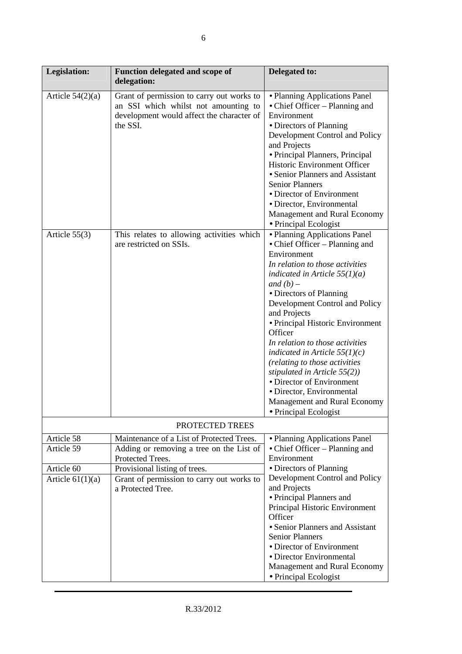| <b>Legislation:</b>              | Function delegated and scope of<br>delegation:                                                                                             | Delegated to:                                                                                                                                                                                                                                                                                                                                                                                                                                                                                                                                                |
|----------------------------------|--------------------------------------------------------------------------------------------------------------------------------------------|--------------------------------------------------------------------------------------------------------------------------------------------------------------------------------------------------------------------------------------------------------------------------------------------------------------------------------------------------------------------------------------------------------------------------------------------------------------------------------------------------------------------------------------------------------------|
| Article $54(2)(a)$               | Grant of permission to carry out works to<br>an SSI which whilst not amounting to<br>development would affect the character of<br>the SSI. | • Planning Applications Panel<br>• Chief Officer - Planning and<br>Environment<br>• Directors of Planning<br>Development Control and Policy<br>and Projects<br>• Principal Planners, Principal<br>Historic Environment Officer<br>• Senior Planners and Assistant<br><b>Senior Planners</b><br>• Director of Environment<br>· Director, Environmental<br>Management and Rural Economy<br>• Principal Ecologist                                                                                                                                               |
| Article $55(3)$                  | This relates to allowing activities which<br>are restricted on SSIs.                                                                       | · Planning Applications Panel<br>• Chief Officer - Planning and<br>Environment<br>In relation to those activities<br>indicated in Article $55(1)(a)$<br>and $(b)$ –<br>• Directors of Planning<br>Development Control and Policy<br>and Projects<br>• Principal Historic Environment<br>Officer<br>In relation to those activities<br>indicated in Article $55(1)(c)$<br>(relating to those activities<br>stipulated in Article $55(2)$ )<br>• Director of Environment<br>· Director, Environmental<br>Management and Rural Economy<br>• Principal Ecologist |
|                                  | PROTECTED TREES                                                                                                                            |                                                                                                                                                                                                                                                                                                                                                                                                                                                                                                                                                              |
| Article 58<br>Article 59         | Maintenance of a List of Protected Trees.<br>Adding or removing a tree on the List of<br>Protected Trees.                                  | • Planning Applications Panel<br>• Chief Officer – Planning and<br>Environment                                                                                                                                                                                                                                                                                                                                                                                                                                                                               |
| Article 60<br>Article $61(1)(a)$ | Provisional listing of trees.<br>Grant of permission to carry out works to<br>a Protected Tree.                                            | • Directors of Planning<br>Development Control and Policy<br>and Projects<br>• Principal Planners and<br>Principal Historic Environment<br>Officer<br>• Senior Planners and Assistant<br><b>Senior Planners</b><br>• Director of Environment<br>• Director Environmental<br>Management and Rural Economy<br>• Principal Ecologist                                                                                                                                                                                                                            |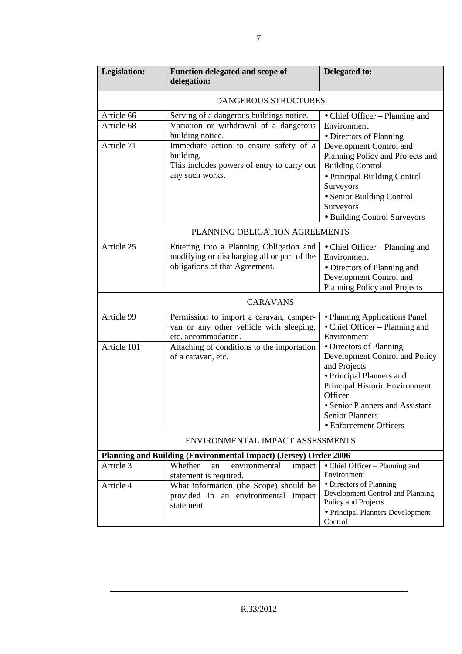| <b>Legislation:</b>                                                     | Function delegated and scope of<br>delegation:                             | Delegated to:                                           |  |  |
|-------------------------------------------------------------------------|----------------------------------------------------------------------------|---------------------------------------------------------|--|--|
|                                                                         | DANGEROUS STRUCTURES                                                       |                                                         |  |  |
| Article 66                                                              | Serving of a dangerous buildings notice.<br>• Chief Officer – Planning and |                                                         |  |  |
| Article 68                                                              | Variation or withdrawal of a dangerous                                     | Environment                                             |  |  |
|                                                                         | building notice.                                                           | • Directors of Planning                                 |  |  |
| Article 71                                                              | Immediate action to ensure safety of a                                     | Development Control and                                 |  |  |
|                                                                         | building.                                                                  | Planning Policy and Projects and                        |  |  |
|                                                                         | This includes powers of entry to carry out                                 | <b>Building Control</b>                                 |  |  |
|                                                                         | any such works.                                                            | · Principal Building Control                            |  |  |
|                                                                         |                                                                            | Surveyors<br>• Senior Building Control                  |  |  |
|                                                                         |                                                                            | Surveyors                                               |  |  |
|                                                                         |                                                                            | · Building Control Surveyors                            |  |  |
|                                                                         | PLANNING OBLIGATION AGREEMENTS                                             |                                                         |  |  |
|                                                                         |                                                                            |                                                         |  |  |
| Article 25                                                              | Entering into a Planning Obligation and                                    | • Chief Officer – Planning and                          |  |  |
|                                                                         | modifying or discharging all or part of the                                | Environment                                             |  |  |
|                                                                         | obligations of that Agreement.                                             | • Directors of Planning and                             |  |  |
|                                                                         |                                                                            | Development Control and<br>Planning Policy and Projects |  |  |
|                                                                         |                                                                            |                                                         |  |  |
|                                                                         | <b>CARAVANS</b>                                                            |                                                         |  |  |
| Article 99                                                              | Permission to import a caravan, camper-                                    | · Planning Applications Panel                           |  |  |
|                                                                         | van or any other vehicle with sleeping,                                    | • Chief Officer – Planning and<br>Environment           |  |  |
| Article 101                                                             | etc. accommodation.<br>Attaching of conditions to the importation          | • Directors of Planning                                 |  |  |
|                                                                         | of a caravan, etc.                                                         | Development Control and Policy                          |  |  |
|                                                                         |                                                                            | and Projects                                            |  |  |
|                                                                         |                                                                            | • Principal Planners and                                |  |  |
|                                                                         |                                                                            | Principal Historic Environment                          |  |  |
|                                                                         |                                                                            | Officer                                                 |  |  |
|                                                                         |                                                                            | • Senior Planners and Assistant                         |  |  |
|                                                                         |                                                                            | <b>Senior Planners</b>                                  |  |  |
|                                                                         |                                                                            | • Enforcement Officers                                  |  |  |
|                                                                         | ENVIRONMENTAL IMPACT ASSESSMENTS                                           |                                                         |  |  |
| <b>Planning and Building (Environmental Impact) (Jersey) Order 2006</b> |                                                                            |                                                         |  |  |
| Article 3                                                               | Whether<br>environmental<br>impact<br>an                                   | • Chief Officer – Planning and                          |  |  |
|                                                                         | statement is required.                                                     | Environment<br>• Directors of Planning                  |  |  |
| Article 4                                                               | What information (the Scope) should be                                     | Development Control and Planning                        |  |  |
|                                                                         | provided in an environmental impact<br>statement.                          | Policy and Projects                                     |  |  |
|                                                                         |                                                                            | • Principal Planners Development                        |  |  |
|                                                                         |                                                                            | Control                                                 |  |  |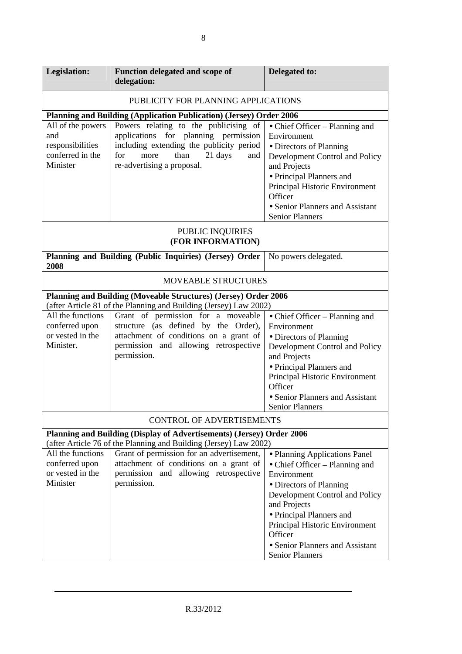| Legislation:                                                                 | Function delegated and scope of<br>delegation:                                                                                                                                                   | Delegated to:                                                                                                                                                                                                                                                                                     |  |  |
|------------------------------------------------------------------------------|--------------------------------------------------------------------------------------------------------------------------------------------------------------------------------------------------|---------------------------------------------------------------------------------------------------------------------------------------------------------------------------------------------------------------------------------------------------------------------------------------------------|--|--|
|                                                                              | PUBLICITY FOR PLANNING APPLICATIONS                                                                                                                                                              |                                                                                                                                                                                                                                                                                                   |  |  |
|                                                                              | Planning and Building (Application Publication) (Jersey) Order 2006                                                                                                                              |                                                                                                                                                                                                                                                                                                   |  |  |
| All of the powers<br>and<br>responsibilities<br>conferred in the<br>Minister | Powers relating to the publicising of<br>applications for planning permission<br>including extending the publicity period<br>for<br>more<br>than<br>21 days<br>and<br>re-advertising a proposal. | • Chief Officer – Planning and<br>Environment<br>• Directors of Planning<br>Development Control and Policy<br>and Projects<br>• Principal Planners and<br>Principal Historic Environment<br>Officer<br>• Senior Planners and Assistant<br><b>Senior Planners</b>                                  |  |  |
|                                                                              | PUBLIC INQUIRIES<br>(FOR INFORMATION)                                                                                                                                                            |                                                                                                                                                                                                                                                                                                   |  |  |
| 2008                                                                         | Planning and Building (Public Inquiries) (Jersey) Order<br>No powers delegated.                                                                                                                  |                                                                                                                                                                                                                                                                                                   |  |  |
|                                                                              | <b>MOVEABLE STRUCTURES</b>                                                                                                                                                                       |                                                                                                                                                                                                                                                                                                   |  |  |
|                                                                              | Planning and Building (Moveable Structures) (Jersey) Order 2006<br>(after Article 81 of the Planning and Building (Jersey) Law 2002)                                                             |                                                                                                                                                                                                                                                                                                   |  |  |
| All the functions<br>conferred upon<br>or vested in the<br>Minister.         | Grant of permission for a moveable<br>structure (as defined by the Order),<br>attachment of conditions on a grant of<br>permission and allowing retrospective<br>permission.                     | • Chief Officer – Planning and<br>Environment<br>• Directors of Planning<br>Development Control and Policy<br>and Projects<br>• Principal Planners and<br>Principal Historic Environment<br>Officer<br>• Senior Planners and Assistant<br><b>Senior Planners</b>                                  |  |  |
|                                                                              | <b>CONTROL OF ADVERTISEMENTS</b>                                                                                                                                                                 |                                                                                                                                                                                                                                                                                                   |  |  |
|                                                                              | Planning and Building (Display of Advertisements) (Jersey) Order 2006<br>(after Article 76 of the Planning and Building (Jersey) Law 2002)                                                       |                                                                                                                                                                                                                                                                                                   |  |  |
| All the functions<br>conferred upon<br>or vested in the<br>Minister          | Grant of permission for an advertisement,<br>attachment of conditions on a grant of<br>permission and allowing retrospective<br>permission.                                                      | • Planning Applications Panel<br>• Chief Officer – Planning and<br>Environment<br>• Directors of Planning<br>Development Control and Policy<br>and Projects<br>• Principal Planners and<br>Principal Historic Environment<br>Officer<br>• Senior Planners and Assistant<br><b>Senior Planners</b> |  |  |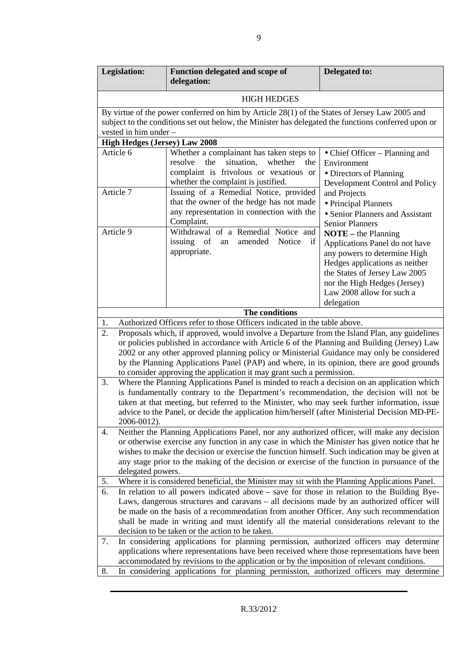| Legislation:                                                                                                                                                                                                                                                                                                                                                                                                                                                           | Function delegated and scope of<br>delegation:                                                                                                                                                                        | Delegated to:                                                                                                                                                                                                                         |  |
|------------------------------------------------------------------------------------------------------------------------------------------------------------------------------------------------------------------------------------------------------------------------------------------------------------------------------------------------------------------------------------------------------------------------------------------------------------------------|-----------------------------------------------------------------------------------------------------------------------------------------------------------------------------------------------------------------------|---------------------------------------------------------------------------------------------------------------------------------------------------------------------------------------------------------------------------------------|--|
|                                                                                                                                                                                                                                                                                                                                                                                                                                                                        | <b>HIGH HEDGES</b>                                                                                                                                                                                                    |                                                                                                                                                                                                                                       |  |
| vested in him under -                                                                                                                                                                                                                                                                                                                                                                                                                                                  | By virtue of the power conferred on him by Article 28(1) of the States of Jersey Law 2005 and<br>subject to the conditions set out below, the Minister has delegated the functions conferred upon or                  |                                                                                                                                                                                                                                       |  |
| <b>High Hedges (Jersey) Law 2008</b>                                                                                                                                                                                                                                                                                                                                                                                                                                   |                                                                                                                                                                                                                       |                                                                                                                                                                                                                                       |  |
| Article 6<br>Article 7                                                                                                                                                                                                                                                                                                                                                                                                                                                 | Whether a complainant has taken steps to<br>resolve<br>situation,<br>whether<br>the<br>the<br>complaint is frivolous or vexatious or<br>whether the complaint is justified.<br>Issuing of a Remedial Notice, provided | • Chief Officer - Planning and<br>Environment<br>• Directors of Planning<br>Development Control and Policy                                                                                                                            |  |
|                                                                                                                                                                                                                                                                                                                                                                                                                                                                        | that the owner of the hedge has not made<br>any representation in connection with the<br>Complaint.                                                                                                                   | and Projects<br>• Principal Planners<br>• Senior Planners and Assistant<br><b>Senior Planners</b>                                                                                                                                     |  |
| Article 9                                                                                                                                                                                                                                                                                                                                                                                                                                                              | Withdrawal of a Remedial Notice and<br>issuing<br>of<br>amended<br>Notice<br>if<br>an<br>appropriate.                                                                                                                 | $NOTE – the Planning$<br>Applications Panel do not have<br>any powers to determine High<br>Hedges applications as neither<br>the States of Jersey Law 2005<br>nor the High Hedges (Jersey)<br>Law 2008 allow for such a<br>delegation |  |
|                                                                                                                                                                                                                                                                                                                                                                                                                                                                        | The conditions                                                                                                                                                                                                        |                                                                                                                                                                                                                                       |  |
| 1.                                                                                                                                                                                                                                                                                                                                                                                                                                                                     | Authorized Officers refer to those Officers indicated in the table above.                                                                                                                                             |                                                                                                                                                                                                                                       |  |
| 2.<br>Proposals which, if approved, would involve a Departure from the Island Plan, any guidelines<br>or policies published in accordance with Article 6 of the Planning and Building (Jersey) Law<br>2002 or any other approved planning policy or Ministerial Guidance may only be considered<br>by the Planning Applications Panel (PAP) and where, in its opinion, there are good grounds<br>to consider approving the application it may grant such a permission. |                                                                                                                                                                                                                       |                                                                                                                                                                                                                                       |  |
| Where the Planning Applications Panel is minded to reach a decision on an application which<br>3.<br>is fundamentally contrary to the Department's recommendation, the decision will not be<br>taken at that meeting, but referred to the Minister, who may seek further information, issue<br>advice to the Panel, or decide the application him/herself (after Ministerial Decision MD-PE-<br>2006-0012).                                                            |                                                                                                                                                                                                                       |                                                                                                                                                                                                                                       |  |
| Neither the Planning Applications Panel, nor any authorized officer, will make any decision<br>4.<br>or otherwise exercise any function in any case in which the Minister has given notice that he<br>wishes to make the decision or exercise the function himself. Such indication may be given at<br>any stage prior to the making of the decision or exercise of the function in pursuance of the<br>delegated powers.                                              |                                                                                                                                                                                                                       |                                                                                                                                                                                                                                       |  |
| 5.                                                                                                                                                                                                                                                                                                                                                                                                                                                                     | Where it is considered beneficial, the Minister may sit with the Planning Applications Panel.                                                                                                                         |                                                                                                                                                                                                                                       |  |
| 6.<br>In relation to all powers indicated above – save for those in relation to the Building Bye-<br>Laws, dangerous structures and caravans – all decisions made by an authorized officer will<br>be made on the basis of a recommendation from another Officer. Any such recommendation<br>shall be made in writing and must identify all the material considerations relevant to the<br>decision to be taken or the action to be taken.                             |                                                                                                                                                                                                                       |                                                                                                                                                                                                                                       |  |
| 7.<br>In considering applications for planning permission, authorized officers may determine<br>applications where representations have been received where those representations have been<br>accommodated by revisions to the application or by the imposition of relevant conditions.<br>In considering applications for planning permission, authorized officers may determine<br>8.                                                                               |                                                                                                                                                                                                                       |                                                                                                                                                                                                                                       |  |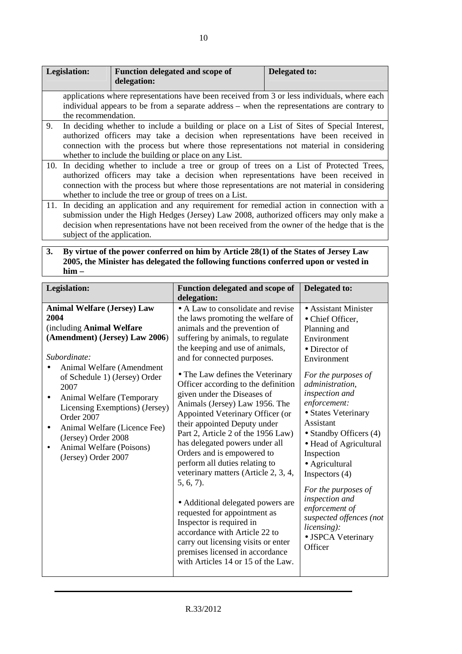|    | Legislation:                                                                                                                                                                                                                                                                                                                               | <b>Function delegated and scope of</b><br>delegation:                                                                                                                                                                                                                                  | Delegated to: |
|----|--------------------------------------------------------------------------------------------------------------------------------------------------------------------------------------------------------------------------------------------------------------------------------------------------------------------------------------------|----------------------------------------------------------------------------------------------------------------------------------------------------------------------------------------------------------------------------------------------------------------------------------------|---------------|
|    | the recommendation.                                                                                                                                                                                                                                                                                                                        | applications where representations have been received from 3 or less individuals, where each<br>individual appears to be from a separate address – when the representations are contrary to                                                                                            |               |
| 9. | In deciding whether to include a building or place on a List of Sites of Special Interest,<br>authorized officers may take a decision when representations have been received in<br>connection with the process but where those representations not material in considering<br>whether to include the building or place on any List.       |                                                                                                                                                                                                                                                                                        |               |
|    | 10. In deciding whether to include a tree or group of trees on a List of Protected Trees,<br>authorized officers may take a decision when representations have been received in<br>connection with the process but where those representations are not material in considering<br>whether to include the tree or group of trees on a List. |                                                                                                                                                                                                                                                                                        |               |
|    | subject of the application.                                                                                                                                                                                                                                                                                                                | 11. In deciding an application and any requirement for remedial action in connection with a<br>submission under the High Hedges (Jersey) Law 2008, authorized officers may only make a<br>decision when representations have not been received from the owner of the hedge that is the |               |

### **3. By virtue of the power conferred on him by Article 28(1) of the States of Jersey Law 2005, the Minister has delegated the following functions conferred upon or vested in him –**

| Legislation:                                                                                                                                                                                                                                                                                                                                                                           | Function delegated and scope of<br>delegation:                                                                                                                                                                                                                                                                                                                                                                                                                                                                                                                                                                                                                                                                                                                                                                                                                               | Delegated to:                                                                                                                                                                                                                                                                                                                                                                                                                                                                 |
|----------------------------------------------------------------------------------------------------------------------------------------------------------------------------------------------------------------------------------------------------------------------------------------------------------------------------------------------------------------------------------------|------------------------------------------------------------------------------------------------------------------------------------------------------------------------------------------------------------------------------------------------------------------------------------------------------------------------------------------------------------------------------------------------------------------------------------------------------------------------------------------------------------------------------------------------------------------------------------------------------------------------------------------------------------------------------------------------------------------------------------------------------------------------------------------------------------------------------------------------------------------------------|-------------------------------------------------------------------------------------------------------------------------------------------------------------------------------------------------------------------------------------------------------------------------------------------------------------------------------------------------------------------------------------------------------------------------------------------------------------------------------|
| <b>Animal Welfare (Jersey) Law</b><br>2004<br>(including Animal Welfare<br>(Amendment) (Jersey) Law 2006)<br>Subordinate:<br>Animal Welfare (Amendment<br>of Schedule 1) (Jersey) Order<br>2007<br>Animal Welfare (Temporary<br>Licensing Exemptions) (Jersey)<br>Order 2007<br>Animal Welfare (Licence Fee)<br>(Jersey) Order 2008<br>Animal Welfare (Poisons)<br>(Jersey) Order 2007 | • A Law to consolidate and revise<br>the laws promoting the welfare of<br>animals and the prevention of<br>suffering by animals, to regulate<br>the keeping and use of animals,<br>and for connected purposes.<br>• The Law defines the Veterinary<br>Officer according to the definition<br>given under the Diseases of<br>Animals (Jersey) Law 1956. The<br>Appointed Veterinary Officer (or<br>their appointed Deputy under<br>Part 2, Article 2 of the 1956 Law)<br>has delegated powers under all<br>Orders and is empowered to<br>perform all duties relating to<br>veterinary matters (Article 2, 3, 4,<br>5, 6, 7.<br>• Additional delegated powers are<br>requested for appointment as<br>Inspector is required in<br>accordance with Article 22 to<br>carry out licensing visits or enter<br>premises licensed in accordance<br>with Articles 14 or 15 of the Law. | • Assistant Minister<br>• Chief Officer,<br>Planning and<br>Environment<br>$\bullet$ Director of<br>Environment<br>For the purposes of<br>administration,<br>inspection and<br>enforcement:<br>• States Veterinary<br>Assistant<br>• Standby Officers (4)<br>• Head of Agricultural<br>Inspection<br>• Agricultural<br>Inspectors $(4)$<br>For the purposes of<br>inspection and<br>enforcement of<br>suspected offences (not<br>licensing):<br>• JSPCA Veterinary<br>Officer |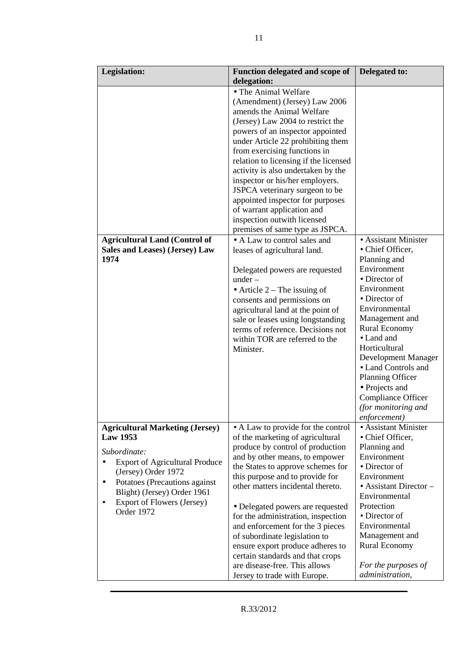| <b>Legislation:</b>                                                                                                                                                                                                                                               | <b>Function delegated and scope of</b><br>delegation:                                                                                                                                                                                                                                                                                                                                                                                                                                                                                             | Delegated to:                                                                                                                                                                                                                                                                                                                                                       |
|-------------------------------------------------------------------------------------------------------------------------------------------------------------------------------------------------------------------------------------------------------------------|---------------------------------------------------------------------------------------------------------------------------------------------------------------------------------------------------------------------------------------------------------------------------------------------------------------------------------------------------------------------------------------------------------------------------------------------------------------------------------------------------------------------------------------------------|---------------------------------------------------------------------------------------------------------------------------------------------------------------------------------------------------------------------------------------------------------------------------------------------------------------------------------------------------------------------|
|                                                                                                                                                                                                                                                                   | • The Animal Welfare<br>(Amendment) (Jersey) Law 2006<br>amends the Animal Welfare<br>(Jersey) Law 2004 to restrict the<br>powers of an inspector appointed<br>under Article 22 prohibiting them<br>from exercising functions in<br>relation to licensing if the licensed<br>activity is also undertaken by the<br>inspector or his/her employers.<br>JSPCA veterinary surgeon to be<br>appointed inspector for purposes<br>of warrant application and<br>inspection outwith licensed<br>premises of same type as JSPCA.                          |                                                                                                                                                                                                                                                                                                                                                                     |
| <b>Agricultural Land (Control of</b><br>Sales and Leases) (Jersey) Law<br>1974                                                                                                                                                                                    | • A Law to control sales and<br>leases of agricultural land.<br>Delegated powers are requested<br>under –<br>• Article $2$ – The issuing of<br>consents and permissions on<br>agricultural land at the point of<br>sale or leases using longstanding<br>terms of reference. Decisions not<br>within TOR are referred to the<br>Minister.                                                                                                                                                                                                          | • Assistant Minister<br>• Chief Officer,<br>Planning and<br>Environment<br>• Director of<br>Environment<br>• Director of<br>Environmental<br>Management and<br><b>Rural Economy</b><br>• Land and<br>Horticultural<br>Development Manager<br>• Land Controls and<br>Planning Officer<br>• Projects and<br>Compliance Officer<br>(for monitoring and<br>enforcement) |
| <b>Agricultural Marketing (Jersey)</b><br><b>Law 1953</b><br>Subordinate:<br><b>Export of Agricultural Produce</b><br>(Jersey) Order 1972<br>Potatoes (Precautions against<br>٠<br>Blight) (Jersey) Order 1961<br><b>Export of Flowers (Jersey)</b><br>Order 1972 | • A Law to provide for the control<br>of the marketing of agricultural<br>produce by control of production<br>and by other means, to empower<br>the States to approve schemes for<br>this purpose and to provide for<br>other matters incidental thereto.<br>• Delegated powers are requested<br>for the administration, inspection<br>and enforcement for the 3 pieces<br>of subordinate legislation to<br>ensure export produce adheres to<br>certain standards and that crops<br>are disease-free. This allows<br>Jersey to trade with Europe. | • Assistant Minister<br>• Chief Officer,<br>Planning and<br>Environment<br>• Director of<br>Environment<br>$\bullet$ Assistant Director –<br>Environmental<br>Protection<br>• Director of<br>Environmental<br>Management and<br><b>Rural Economy</b><br>For the purposes of<br>administration,                                                                      |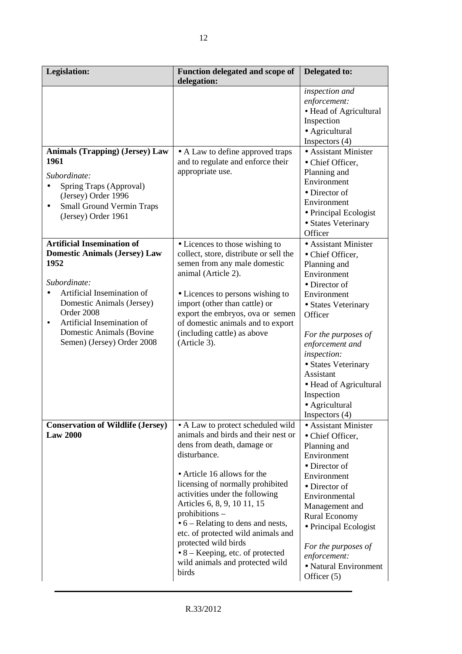| Legislation:                                                                                                                                                                                                                                                                     | Function delegated and scope of<br>delegation:                                                                                                                                                                                                                                                                                                                                                                                                                                    | Delegated to:                                                                                                                                                                                                                                                                                                                |
|----------------------------------------------------------------------------------------------------------------------------------------------------------------------------------------------------------------------------------------------------------------------------------|-----------------------------------------------------------------------------------------------------------------------------------------------------------------------------------------------------------------------------------------------------------------------------------------------------------------------------------------------------------------------------------------------------------------------------------------------------------------------------------|------------------------------------------------------------------------------------------------------------------------------------------------------------------------------------------------------------------------------------------------------------------------------------------------------------------------------|
| <b>Animals (Trapping) (Jersey) Law</b><br>1961<br>Subordinate:<br>Spring Traps (Approval)<br>(Jersey) Order 1996<br><b>Small Ground Vermin Traps</b><br>$\bullet$<br>(Jersey) Order 1961                                                                                         | • A Law to define approved traps<br>and to regulate and enforce their<br>appropriate use.                                                                                                                                                                                                                                                                                                                                                                                         | inspection and<br>enforcement:<br>• Head of Agricultural<br>Inspection<br>• Agricultural<br>Inspectors $(4)$<br>• Assistant Minister<br>• Chief Officer,<br>Planning and<br>Environment<br>• Director of<br>Environment<br>• Principal Ecologist<br>• States Veterinary<br>Officer                                           |
| <b>Artificial Insemination of</b><br><b>Domestic Animals (Jersey) Law</b><br>1952<br>Subordinate:<br>Artificial Insemination of<br>Domestic Animals (Jersey)<br>Order 2008<br>Artificial Insemination of<br>$\bullet$<br>Domestic Animals (Bovine)<br>Semen) (Jersey) Order 2008 | • Licences to those wishing to<br>collect, store, distribute or sell the<br>semen from any male domestic<br>animal (Article 2).<br>• Licences to persons wishing to<br>import (other than cattle) or<br>export the embryos, ova or semen<br>of domestic animals and to export<br>(including cattle) as above<br>(Article 3).                                                                                                                                                      | • Assistant Minister<br>• Chief Officer,<br>Planning and<br>Environment<br>$\bullet$ Director of<br>Environment<br>• States Veterinary<br>Officer<br>For the purposes of<br>enforcement and<br>inspection:<br>• States Veterinary<br>Assistant<br>• Head of Agricultural<br>Inspection<br>• Agricultural<br>Inspectors $(4)$ |
| <b>Conservation of Wildlife (Jersey)</b><br><b>Law 2000</b>                                                                                                                                                                                                                      | • A Law to protect scheduled wild<br>animals and birds and their nest or<br>dens from death, damage or<br>disturbance.<br>• Article 16 allows for the<br>licensing of normally prohibited<br>activities under the following<br>Articles 6, 8, 9, 10 11, 15<br>$prohibitions -$<br>$\bullet$ 6 – Relating to dens and nests,<br>etc. of protected wild animals and<br>protected wild birds<br>$\bullet$ 8 – Keeping, etc. of protected<br>wild animals and protected wild<br>birds | • Assistant Minister<br>• Chief Officer,<br>Planning and<br>Environment<br>• Director of<br>Environment<br>• Director of<br>Environmental<br>Management and<br><b>Rural Economy</b><br>• Principal Ecologist<br>For the purposes of<br>enforcement:<br>• Natural Environment<br>Officer $(5)$                                |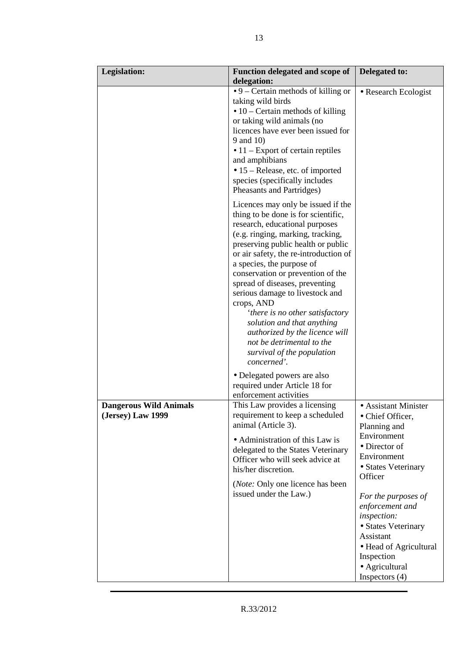| <b>Legislation:</b>                                | <b>Function delegated and scope of</b><br>delegation:                                                                                                                                                                                                                                                                                                                                                                                                                                                                                                                                                                             | Delegated to:                                                                                                                                                                                                                                                                                                        |
|----------------------------------------------------|-----------------------------------------------------------------------------------------------------------------------------------------------------------------------------------------------------------------------------------------------------------------------------------------------------------------------------------------------------------------------------------------------------------------------------------------------------------------------------------------------------------------------------------------------------------------------------------------------------------------------------------|----------------------------------------------------------------------------------------------------------------------------------------------------------------------------------------------------------------------------------------------------------------------------------------------------------------------|
|                                                    | $\bullet$ 9 – Certain methods of killing or<br>taking wild birds<br>$\bullet$ 10 – Certain methods of killing<br>or taking wild animals (no<br>licences have ever been issued for<br>9 and 10)<br>$\bullet$ 11 – Export of certain reptiles<br>and amphibians<br>• 15 – Release, etc. of imported<br>species (specifically includes<br>Pheasants and Partridges)                                                                                                                                                                                                                                                                  | • Research Ecologist                                                                                                                                                                                                                                                                                                 |
|                                                    | Licences may only be issued if the<br>thing to be done is for scientific,<br>research, educational purposes<br>(e.g. ringing, marking, tracking,<br>preserving public health or public<br>or air safety, the re-introduction of<br>a species, the purpose of<br>conservation or prevention of the<br>spread of diseases, preventing<br>serious damage to livestock and<br>crops, AND<br>'there is no other satisfactory<br>solution and that anything<br>authorized by the licence will<br>not be detrimental to the<br>survival of the population<br>concerned'.<br>• Delegated powers are also<br>required under Article 18 for |                                                                                                                                                                                                                                                                                                                      |
| <b>Dangerous Wild Animals</b><br>(Jersey) Law 1999 | enforcement activities<br>This Law provides a licensing<br>requirement to keep a scheduled<br>animal (Article 3).<br>• Administration of this Law is<br>delegated to the States Veterinary<br>Officer who will seek advice at<br>his/her discretion.<br>( <i>Note:</i> Only one licence has been<br>issued under the Law.)                                                                                                                                                                                                                                                                                                        | • Assistant Minister<br>• Chief Officer,<br>Planning and<br>Environment<br>• Director of<br>Environment<br>• States Veterinary<br>Officer<br>For the purposes of<br>enforcement and<br>inspection:<br>• States Veterinary<br>Assistant<br>• Head of Agricultural<br>Inspection<br>• Agricultural<br>Inspectors $(4)$ |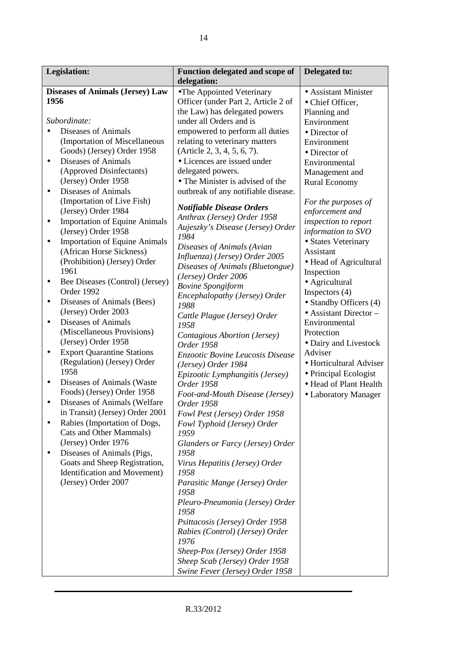| <b>Legislation:</b>                                                                                                                                                                                                                                                                                                                                                                                                                                                                                                                                                                                                                                                                                                                                                                                                                                                                                                                                                                                                                                                                                                                                                                                                              | Function delegated and scope of                                                                                                                                                                                                                                                                                                                                                                                                                                                                                                                                                                                                                                                                                                                                                                                                                                                                                                                                                                                                                                                                                                                                  | Delegated to:                                                                                                                                                                                                                                                                                                                                                                                                                                                                                                                                                                                                                      |
|----------------------------------------------------------------------------------------------------------------------------------------------------------------------------------------------------------------------------------------------------------------------------------------------------------------------------------------------------------------------------------------------------------------------------------------------------------------------------------------------------------------------------------------------------------------------------------------------------------------------------------------------------------------------------------------------------------------------------------------------------------------------------------------------------------------------------------------------------------------------------------------------------------------------------------------------------------------------------------------------------------------------------------------------------------------------------------------------------------------------------------------------------------------------------------------------------------------------------------|------------------------------------------------------------------------------------------------------------------------------------------------------------------------------------------------------------------------------------------------------------------------------------------------------------------------------------------------------------------------------------------------------------------------------------------------------------------------------------------------------------------------------------------------------------------------------------------------------------------------------------------------------------------------------------------------------------------------------------------------------------------------------------------------------------------------------------------------------------------------------------------------------------------------------------------------------------------------------------------------------------------------------------------------------------------------------------------------------------------------------------------------------------------|------------------------------------------------------------------------------------------------------------------------------------------------------------------------------------------------------------------------------------------------------------------------------------------------------------------------------------------------------------------------------------------------------------------------------------------------------------------------------------------------------------------------------------------------------------------------------------------------------------------------------------|
| <b>Diseases of Animals (Jersey) Law</b><br>1956<br>Subordinate:<br>Diseases of Animals<br>(Importation of Miscellaneous<br>Goods) (Jersey) Order 1958<br><b>Diseases of Animals</b><br>٠<br>(Approved Disinfectants)<br>(Jersey) Order 1958<br><b>Diseases of Animals</b><br>$\bullet$<br>(Importation of Live Fish)<br>(Jersey) Order 1984<br><b>Importation of Equine Animals</b><br>٠<br>(Jersey) Order 1958<br><b>Importation of Equine Animals</b><br>$\bullet$<br>(African Horse Sickness)<br>(Prohibition) (Jersey) Order<br>1961<br>Bee Diseases (Control) (Jersey)<br>٠<br>Order 1992<br>Diseases of Animals (Bees)<br>$\bullet$<br>(Jersey) Order 2003<br><b>Diseases of Animals</b><br>$\bullet$<br>(Miscellaneous Provisions)<br>(Jersey) Order 1958<br><b>Export Quarantine Stations</b><br>٠<br>(Regulation) (Jersey) Order<br>1958<br>Diseases of Animals (Waster<br>$\bullet$<br>Foods) (Jersey) Order 1958<br>Diseases of Animals (Welfare<br>$\bullet$<br>in Transit) (Jersey) Order 2001<br>Rabies (Importation of Dogs,<br>Cats and Other Mammals)<br>(Jersey) Order 1976<br>Diseases of Animals (Pigs,<br>$\bullet$<br>Goats and Sheep Registration,<br>Identification and Movement)<br>(Jersey) Order 2007 | delegation:<br>•The Appointed Veterinary<br>Officer (under Part 2, Article 2 of<br>the Law) has delegated powers<br>under all Orders and is<br>empowered to perform all duties<br>relating to veterinary matters<br>(Article 2, 3, 4, 5, 6, 7).<br>• Licences are issued under<br>delegated powers.<br>• The Minister is advised of the<br>outbreak of any notifiable disease.<br><b>Notifiable Disease Orders</b><br>Anthrax (Jersey) Order 1958<br>Aujeszky's Disease (Jersey) Order<br>1984<br>Diseases of Animals (Avian<br>Influenza) (Jersey) Order 2005<br>Diseases of Animals (Bluetongue)<br>(Jersey) Order 2006<br><b>Bovine Spongiform</b><br>Encephalopathy (Jersey) Order<br>1988<br>Cattle Plague (Jersey) Order<br>1958<br>Contagious Abortion (Jersey)<br>Order 1958<br><b>Enzootic Bovine Leucosis Disease</b><br>(Jersey) Order 1984<br>Epizootic Lymphangitis (Jersey)<br>Order 1958<br>Foot-and-Mouth Disease (Jersey)<br>Order 1958<br>Fowl Pest (Jersey) Order 1958<br>Fowl Typhoid (Jersey) Order<br>1959<br>Glanders or Farcy (Jersey) Order<br>1958<br>Virus Hepatitis (Jersey) Order<br>1958<br>Parasitic Mange (Jersey) Order<br>1958 | • Assistant Minister<br>• Chief Officer,<br>Planning and<br>Environment<br>• Director of<br>Environment<br>• Director of<br>Environmental<br>Management and<br><b>Rural Economy</b><br>For the purposes of<br>enforcement and<br>inspection to report<br>information to SVO<br>• States Veterinary<br>Assistant<br>• Head of Agricultural<br>Inspection<br>• Agricultural<br>Inspectors $(4)$<br>• Standby Officers (4)<br>$\bullet$ Assistant Director -<br>Environmental<br>Protection<br>• Dairy and Livestock<br>Adviser<br>· Horticultural Adviser<br>• Principal Ecologist<br>• Head of Plant Health<br>• Laboratory Manager |
|                                                                                                                                                                                                                                                                                                                                                                                                                                                                                                                                                                                                                                                                                                                                                                                                                                                                                                                                                                                                                                                                                                                                                                                                                                  | Pleuro-Pneumonia (Jersey) Order<br>1958<br>Psittacosis (Jersey) Order 1958<br>Rabies (Control) (Jersey) Order<br>1976                                                                                                                                                                                                                                                                                                                                                                                                                                                                                                                                                                                                                                                                                                                                                                                                                                                                                                                                                                                                                                            |                                                                                                                                                                                                                                                                                                                                                                                                                                                                                                                                                                                                                                    |
|                                                                                                                                                                                                                                                                                                                                                                                                                                                                                                                                                                                                                                                                                                                                                                                                                                                                                                                                                                                                                                                                                                                                                                                                                                  | Sheep-Pox (Jersey) Order 1958<br>Sheep Scab (Jersey) Order 1958<br>Swine Fever (Jersey) Order 1958                                                                                                                                                                                                                                                                                                                                                                                                                                                                                                                                                                                                                                                                                                                                                                                                                                                                                                                                                                                                                                                               |                                                                                                                                                                                                                                                                                                                                                                                                                                                                                                                                                                                                                                    |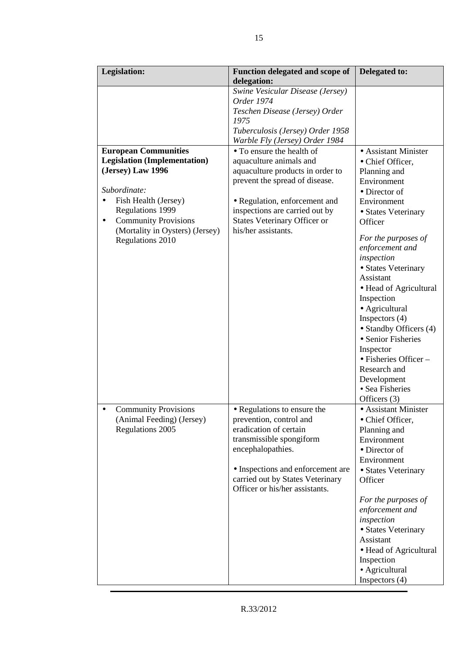| <b>Legislation:</b>                 | Function delegated and scope of     | Delegated to:                 |
|-------------------------------------|-------------------------------------|-------------------------------|
|                                     | delegation:                         |                               |
|                                     | Swine Vesicular Disease (Jersey)    |                               |
|                                     | Order 1974                          |                               |
|                                     | Teschen Disease (Jersey) Order      |                               |
|                                     | 1975                                |                               |
|                                     | Tuberculosis (Jersey) Order 1958    |                               |
|                                     | Warble Fly (Jersey) Order 1984      |                               |
| <b>European Communities</b>         | • To ensure the health of           | • Assistant Minister          |
| <b>Legislation (Implementation)</b> | aquaculture animals and             | • Chief Officer,              |
| (Jersey) Law 1996                   | aquaculture products in order to    | Planning and                  |
| Subordinate:                        | prevent the spread of disease.      | Environment                   |
|                                     |                                     | • Director of                 |
| Fish Health (Jersey)                | • Regulation, enforcement and       | Environment                   |
| <b>Regulations 1999</b>             | inspections are carried out by      | • States Veterinary           |
| <b>Community Provisions</b><br>٠    | <b>States Veterinary Officer or</b> | Officer                       |
| (Mortality in Oysters) (Jersey)     | his/her assistants.                 | For the purposes of           |
| <b>Regulations 2010</b>             |                                     | enforcement and               |
|                                     |                                     | inspection                    |
|                                     |                                     | • States Veterinary           |
|                                     |                                     | Assistant                     |
|                                     |                                     | • Head of Agricultural        |
|                                     |                                     | Inspection                    |
|                                     |                                     | • Agricultural                |
|                                     |                                     | Inspectors $(4)$              |
|                                     |                                     | • Standby Officers (4)        |
|                                     |                                     | • Senior Fisheries            |
|                                     |                                     | Inspector                     |
|                                     |                                     | $\bullet$ Fisheries Officer – |
|                                     |                                     | Research and                  |
|                                     |                                     | Development                   |
|                                     |                                     | • Sea Fisheries               |
|                                     |                                     | Officers (3)                  |
| <b>Community Provisions</b>         | • Regulations to ensure the         | • Assistant Minister          |
| (Animal Feeding) (Jersey)           | prevention, control and             | • Chief Officer,              |
| <b>Regulations 2005</b>             | eradication of certain              | Planning and                  |
|                                     | transmissible spongiform            | Environment                   |
|                                     | encephalopathies.                   | • Director of                 |
|                                     |                                     | Environment                   |
|                                     | • Inspections and enforcement are   | • States Veterinary           |
|                                     | carried out by States Veterinary    | Officer                       |
|                                     | Officer or his/her assistants.      |                               |
|                                     |                                     | For the purposes of           |
|                                     |                                     | enforcement and               |
|                                     |                                     | inspection                    |
|                                     |                                     | • States Veterinary           |
|                                     |                                     | Assistant                     |
|                                     |                                     | • Head of Agricultural        |
|                                     |                                     | Inspection                    |
|                                     |                                     | • Agricultural                |
|                                     |                                     | Inspectors $(4)$              |
|                                     |                                     |                               |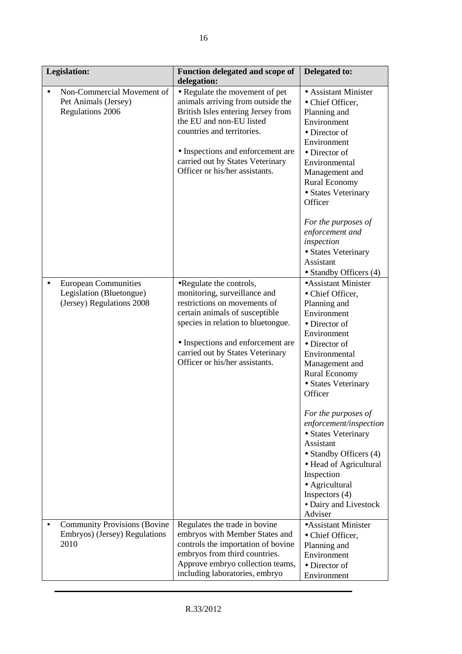| <b>Legislation:</b>                                                                  | <b>Function delegated and scope of</b><br>delegation:                                                                                                                                                                                                                          | Delegated to:                                                                                                                                                                                                                                                                                                                        |
|--------------------------------------------------------------------------------------|--------------------------------------------------------------------------------------------------------------------------------------------------------------------------------------------------------------------------------------------------------------------------------|--------------------------------------------------------------------------------------------------------------------------------------------------------------------------------------------------------------------------------------------------------------------------------------------------------------------------------------|
| Non-Commercial Movement of<br>Pet Animals (Jersey)<br><b>Regulations 2006</b>        | • Regulate the movement of pet<br>animals arriving from outside the<br>British Isles entering Jersey from<br>the EU and non-EU listed<br>countries and territories.<br>• Inspections and enforcement are<br>carried out by States Veterinary<br>Officer or his/her assistants. | • Assistant Minister<br>• Chief Officer,<br>Planning and<br>Environment<br>• Director of<br>Environment<br>• Director of<br>Environmental<br>Management and<br>Rural Economy<br>• States Veterinary<br>Officer<br>For the purposes of<br>enforcement and<br>inspection<br>• States Veterinary<br>Assistant                           |
| <b>European Communities</b><br>Legislation (Bluetongue)<br>(Jersey) Regulations 2008 | •Regulate the controls,<br>monitoring, surveillance and<br>restrictions on movements of<br>certain animals of susceptible<br>species in relation to bluetongue.<br>• Inspections and enforcement are<br>carried out by States Veterinary<br>Officer or his/her assistants.     | • Standby Officers (4)<br>• Assistant Minister<br>• Chief Officer,<br>Planning and<br>Environment<br>• Director of<br>Environment<br>• Director of<br>Environmental<br>Management and<br><b>Rural Economy</b><br>• States Veterinary<br>Officer<br>For the purposes of<br>enforcement/inspection<br>• States Veterinary<br>Assistant |
|                                                                                      |                                                                                                                                                                                                                                                                                | • Standby Officers (4)<br>• Head of Agricultural<br>Inspection<br>• Agricultural<br>Inspectors $(4)$<br>• Dairy and Livestock<br>Adviser                                                                                                                                                                                             |
| <b>Community Provisions (Bovine</b><br>Embryos) (Jersey) Regulations<br>2010         | Regulates the trade in bovine<br>embryos with Member States and<br>controls the importation of bovine<br>embryos from third countries.<br>Approve embryo collection teams,<br>including laboratories, embryo                                                                   | • Assistant Minister<br>• Chief Officer,<br>Planning and<br>Environment<br>• Director of<br>Environment                                                                                                                                                                                                                              |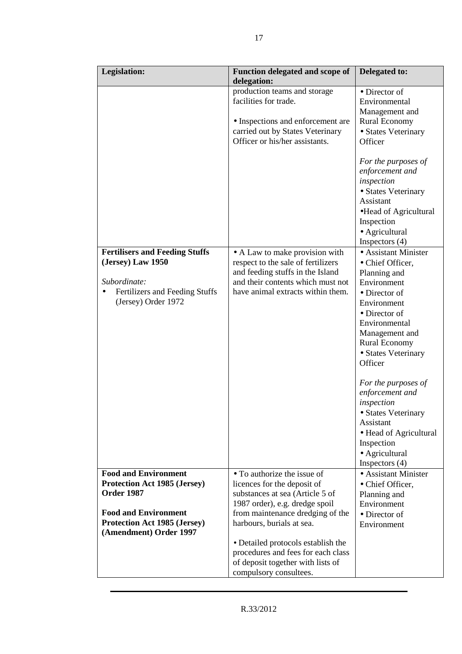| <b>Legislation:</b>                                                                                                                 | <b>Function delegated and scope of</b><br>delegation:                                                                                                                              | Delegated to:                                                                                                                                                                                                                                                                                                                                                                                   |
|-------------------------------------------------------------------------------------------------------------------------------------|------------------------------------------------------------------------------------------------------------------------------------------------------------------------------------|-------------------------------------------------------------------------------------------------------------------------------------------------------------------------------------------------------------------------------------------------------------------------------------------------------------------------------------------------------------------------------------------------|
|                                                                                                                                     | production teams and storage<br>facilities for trade.<br>• Inspections and enforcement are<br>carried out by States Veterinary<br>Officer or his/her assistants.                   | • Director of<br>Environmental<br>Management and<br><b>Rural Economy</b><br>• States Veterinary<br>Officer                                                                                                                                                                                                                                                                                      |
|                                                                                                                                     |                                                                                                                                                                                    | For the purposes of<br>enforcement and<br>inspection<br>• States Veterinary<br>Assistant<br>·Head of Agricultural<br>Inspection<br>• Agricultural<br>Inspectors $(4)$                                                                                                                                                                                                                           |
| <b>Fertilisers and Feeding Stuffs</b><br>(Jersey) Law 1950<br>Subordinate:<br>Fertilizers and Feeding Stuffs<br>(Jersey) Order 1972 | • A Law to make provision with<br>respect to the sale of fertilizers<br>and feeding stuffs in the Island<br>and their contents which must not<br>have animal extracts within them. | • Assistant Minister<br>• Chief Officer,<br>Planning and<br>Environment<br>• Director of<br>Environment<br>• Director of<br>Environmental<br>Management and<br><b>Rural Economy</b><br>• States Veterinary<br>Officer<br>For the purposes of<br>enforcement and<br>inspection<br>· States Veterinary<br>Assistant<br>• Head of Agricultural<br>Inspection<br>• Agricultural<br>Inspectors $(4)$ |
| <b>Food and Environment</b><br><b>Protection Act 1985 (Jersey)</b><br><b>Order 1987</b><br><b>Food and Environment</b>              | • To authorize the issue of<br>licences for the deposit of<br>substances at sea (Article 5 of<br>1987 order), e.g. dredge spoil<br>from maintenance dredging of the                | • Assistant Minister<br>• Chief Officer,<br>Planning and<br>Environment<br>• Director of                                                                                                                                                                                                                                                                                                        |
| <b>Protection Act 1985 (Jersey)</b><br>(Amendment) Order 1997                                                                       | harbours, burials at sea.<br>• Detailed protocols establish the<br>procedures and fees for each class<br>of deposit together with lists of<br>compulsory consultees.               | Environment                                                                                                                                                                                                                                                                                                                                                                                     |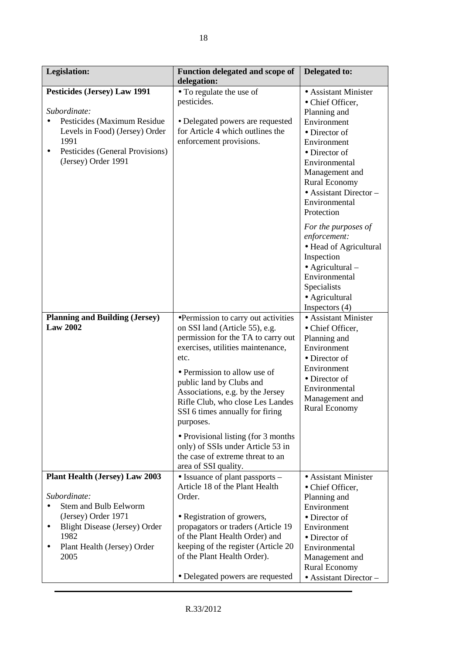| <b>Legislation:</b>                                                                                                                                                                                              | <b>Function delegated and scope of</b><br>delegation:                                                                                                                                                                                                                                                                                        | Delegated to:                                                                                                                                                                                                                                                |
|------------------------------------------------------------------------------------------------------------------------------------------------------------------------------------------------------------------|----------------------------------------------------------------------------------------------------------------------------------------------------------------------------------------------------------------------------------------------------------------------------------------------------------------------------------------------|--------------------------------------------------------------------------------------------------------------------------------------------------------------------------------------------------------------------------------------------------------------|
| <b>Pesticides (Jersey) Law 1991</b><br>Subordinate:<br>Pesticides (Maximum Residue<br>Levels in Food) (Jersey) Order<br>1991<br>Pesticides (General Provisions)<br>$\bullet$<br>(Jersey) Order 1991              | • To regulate the use of<br>pesticides.<br>• Delegated powers are requested<br>for Article 4 which outlines the<br>enforcement provisions.                                                                                                                                                                                                   | • Assistant Minister<br>• Chief Officer,<br>Planning and<br>Environment<br>• Director of<br>Environment<br>$\bullet$ Director of<br>Environmental<br>Management and<br><b>Rural Economy</b><br>$\bullet$ Assistant Director –<br>Environmental<br>Protection |
|                                                                                                                                                                                                                  |                                                                                                                                                                                                                                                                                                                                              | For the purposes of<br>enforcement:<br>• Head of Agricultural<br>Inspection<br>$\bullet$ Agricultural –<br>Environmental<br>Specialists<br>• Agricultural<br>Inspectors $(4)$                                                                                |
| <b>Planning and Building (Jersey)</b><br><b>Law 2002</b>                                                                                                                                                         | •Permission to carry out activities<br>on SSI land (Article 55), e.g.<br>permission for the TA to carry out<br>exercises, utilities maintenance,<br>etc.<br>• Permission to allow use of<br>public land by Clubs and<br>Associations, e.g. by the Jersey<br>Rifle Club, who close Les Landes<br>SSI 6 times annually for firing<br>purposes. | • Assistant Minister<br>• Chief Officer,<br>Planning and<br>Environment<br>• Director of<br>Environment<br>• Director of<br>Environmental<br>Management and<br><b>Rural Economy</b>                                                                          |
|                                                                                                                                                                                                                  | • Provisional listing (for 3 months)<br>only) of SSIs under Article 53 in<br>the case of extreme threat to an<br>area of SSI quality.                                                                                                                                                                                                        |                                                                                                                                                                                                                                                              |
| <b>Plant Health (Jersey) Law 2003</b><br>Subordinate:<br><b>Stem and Bulb Eelworm</b><br>(Jersey) Order 1971<br><b>Blight Disease (Jersey) Order</b><br>$\bullet$<br>1982<br>Plant Health (Jersey) Order<br>2005 | $\bullet$ Issuance of plant passports $-$<br>Article 18 of the Plant Health<br>Order.<br>• Registration of growers,<br>propagators or traders (Article 19<br>of the Plant Health Order) and<br>keeping of the register (Article 20<br>of the Plant Health Order).<br>• Delegated powers are requested                                        | • Assistant Minister<br>• Chief Officer,<br>Planning and<br>Environment<br>· Director of<br>Environment<br>• Director of<br>Environmental<br>Management and<br><b>Rural Economy</b><br>• Assistant Director -                                                |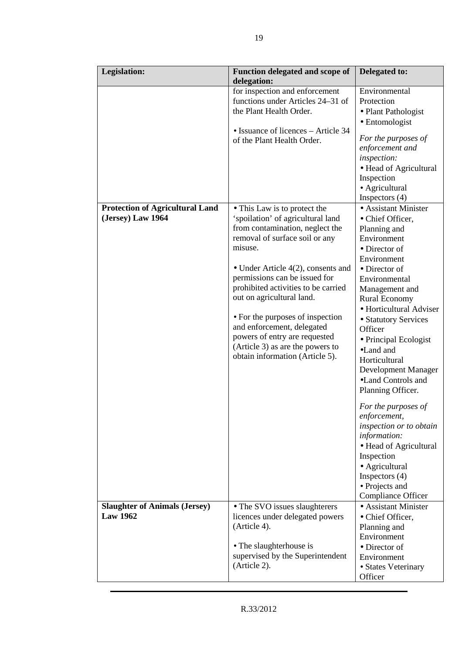| <b>Legislation:</b>                                         | Function delegated and scope of<br>delegation:                                                                                                                                                                                                                                                                                                                                                                                                                            | Delegated to:                                                                                                                                                                                                                                                                                                                                                                                                                                                                                                                                                                             |
|-------------------------------------------------------------|---------------------------------------------------------------------------------------------------------------------------------------------------------------------------------------------------------------------------------------------------------------------------------------------------------------------------------------------------------------------------------------------------------------------------------------------------------------------------|-------------------------------------------------------------------------------------------------------------------------------------------------------------------------------------------------------------------------------------------------------------------------------------------------------------------------------------------------------------------------------------------------------------------------------------------------------------------------------------------------------------------------------------------------------------------------------------------|
|                                                             | for inspection and enforcement<br>functions under Articles 24–31 of<br>the Plant Health Order.<br>• Issuance of licences – Article 34<br>of the Plant Health Order.                                                                                                                                                                                                                                                                                                       | Environmental<br>Protection<br>• Plant Pathologist<br>• Entomologist<br>For the purposes of<br>enforcement and<br>inspection:<br>• Head of Agricultural<br>Inspection<br>• Agricultural<br>Inspectors $(4)$                                                                                                                                                                                                                                                                                                                                                                               |
| <b>Protection of Agricultural Land</b><br>(Jersey) Law 1964 | • This Law is to protect the<br>'spoilation' of agricultural land<br>from contamination, neglect the<br>removal of surface soil or any<br>misuse.<br>• Under Article $4(2)$ , consents and<br>permissions can be issued for<br>prohibited activities to be carried<br>out on agricultural land.<br>• For the purposes of inspection<br>and enforcement, delegated<br>powers of entry are requested<br>(Article 3) as are the powers to<br>obtain information (Article 5). | • Assistant Minister<br>• Chief Officer,<br>Planning and<br>Environment<br>• Director of<br>Environment<br>• Director of<br>Environmental<br>Management and<br><b>Rural Economy</b><br>• Horticultural Adviser<br>• Statutory Services<br>Officer<br>• Principal Ecologist<br>•Land and<br>Horticultural<br>Development Manager<br>•Land Controls and<br>Planning Officer.<br>For the purposes of<br>enforcement,<br>inspection or to obtain<br>information:<br>• Head of Agricultural<br>Inspection<br>• Agricultural<br>Inspectors $(4)$<br>• Projects and<br><b>Compliance Officer</b> |
| <b>Slaughter of Animals (Jersey)</b><br><b>Law 1962</b>     | • The SVO issues slaughterers<br>licences under delegated powers<br>(Article 4).<br>• The slaughterhouse is<br>supervised by the Superintendent<br>(Article 2).                                                                                                                                                                                                                                                                                                           | • Assistant Minister<br>• Chief Officer,<br>Planning and<br>Environment<br>• Director of<br>Environment<br>• States Veterinary<br>Officer                                                                                                                                                                                                                                                                                                                                                                                                                                                 |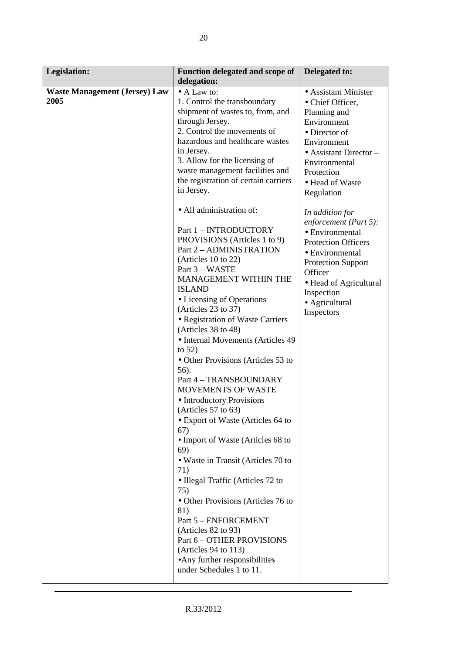| <b>Legislation:</b>                          | <b>Function delegated and scope of</b>                                                                                                                                                                                                                                                                                                                                                                                                                                                                                                                                                                                                                                                                                                                                                                                                                                                                                                                                                                                                                                                                                        | Delegated to:                                                                                                                                                                                                                                                                                                                                                                                                                             |
|----------------------------------------------|-------------------------------------------------------------------------------------------------------------------------------------------------------------------------------------------------------------------------------------------------------------------------------------------------------------------------------------------------------------------------------------------------------------------------------------------------------------------------------------------------------------------------------------------------------------------------------------------------------------------------------------------------------------------------------------------------------------------------------------------------------------------------------------------------------------------------------------------------------------------------------------------------------------------------------------------------------------------------------------------------------------------------------------------------------------------------------------------------------------------------------|-------------------------------------------------------------------------------------------------------------------------------------------------------------------------------------------------------------------------------------------------------------------------------------------------------------------------------------------------------------------------------------------------------------------------------------------|
| <b>Waste Management (Jersey) Law</b><br>2005 | delegation:<br>• A Law to:<br>1. Control the transboundary<br>shipment of wastes to, from, and<br>through Jersey.<br>2. Control the movements of<br>hazardous and healthcare wastes<br>in Jersey.<br>3. Allow for the licensing of<br>waste management facilities and<br>the registration of certain carriers<br>in Jersey.<br>• All administration of:<br>Part 1 - INTRODUCTORY<br>PROVISIONS (Articles 1 to 9)<br>Part 2 - ADMINISTRATION<br>(Articles 10 to 22)<br>Part 3 - WASTE<br>MANAGEMENT WITHIN THE<br><b>ISLAND</b><br>• Licensing of Operations<br>(Articles 23 to 37)<br>• Registration of Waste Carriers<br>(Articles 38 to 48)<br>• Internal Movements (Articles 49<br>to $52)$<br>• Other Provisions (Articles 53 to<br>56).<br>Part 4 - TRANSBOUNDARY<br>MOVEMENTS OF WASTE<br>• Introductory Provisions<br>(Articles 57 to 63)<br>• Export of Waste (Articles 64 to<br>67)<br>• Import of Waste (Articles 68 to<br>69)<br>• Waste in Transit (Articles 70 to<br>71)<br>• Illegal Traffic (Articles 72 to<br>75)<br>• Other Provisions (Articles 76 to<br>81)<br>Part 5 - ENFORCEMENT<br>(Articles 82 to 93) | • Assistant Minister<br>• Chief Officer,<br>Planning and<br>Environment<br>• Director of<br>Environment<br>$\bullet$ Assistant Director –<br>Environmental<br>Protection<br>• Head of Waste<br>Regulation<br>In addition for<br>enforcement (Part 5):<br>• Environmental<br><b>Protection Officers</b><br>• Environmental<br><b>Protection Support</b><br>Officer<br>• Head of Agricultural<br>Inspection<br>• Agricultural<br>Inspectors |
|                                              | Part 6 - OTHER PROVISIONS<br>(Articles $94$ to 113)<br>• Any further responsibilities<br>under Schedules 1 to 11.                                                                                                                                                                                                                                                                                                                                                                                                                                                                                                                                                                                                                                                                                                                                                                                                                                                                                                                                                                                                             |                                                                                                                                                                                                                                                                                                                                                                                                                                           |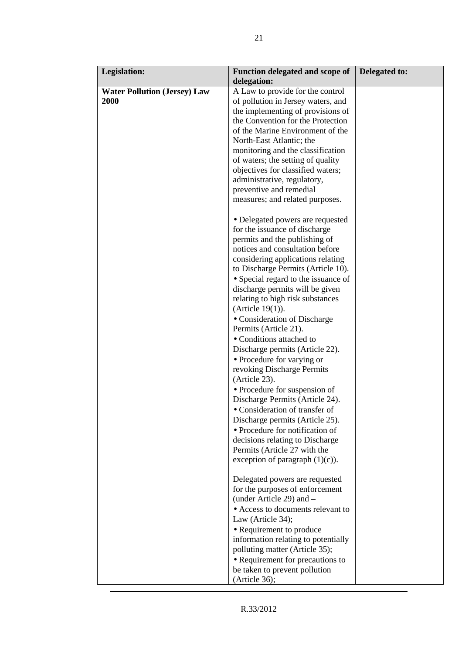| <b>Legislation:</b>                                | <b>Function delegated and scope of</b><br>delegation:                                                                                                                                                                                                                                                                                                                                                                                                                                                                                                                                                                                                                                                                                                                                                                                                                                                                                                                                                                                                                         | <b>Delegated to:</b> |
|----------------------------------------------------|-------------------------------------------------------------------------------------------------------------------------------------------------------------------------------------------------------------------------------------------------------------------------------------------------------------------------------------------------------------------------------------------------------------------------------------------------------------------------------------------------------------------------------------------------------------------------------------------------------------------------------------------------------------------------------------------------------------------------------------------------------------------------------------------------------------------------------------------------------------------------------------------------------------------------------------------------------------------------------------------------------------------------------------------------------------------------------|----------------------|
| <b>Water Pollution (Jersey) Law</b><br><b>2000</b> | A Law to provide for the control<br>of pollution in Jersey waters, and<br>the implementing of provisions of<br>the Convention for the Protection<br>of the Marine Environment of the<br>North-East Atlantic; the<br>monitoring and the classification<br>of waters; the setting of quality<br>objectives for classified waters;<br>administrative, regulatory,<br>preventive and remedial<br>measures; and related purposes.                                                                                                                                                                                                                                                                                                                                                                                                                                                                                                                                                                                                                                                  |                      |
|                                                    | • Delegated powers are requested<br>for the issuance of discharge<br>permits and the publishing of<br>notices and consultation before<br>considering applications relating<br>to Discharge Permits (Article 10).<br>• Special regard to the issuance of<br>discharge permits will be given<br>relating to high risk substances<br>(Article $19(1)$ ).<br>• Consideration of Discharge<br>Permits (Article 21).<br>• Conditions attached to<br>Discharge permits (Article 22).<br>• Procedure for varying or<br>revoking Discharge Permits<br>(Article 23).<br>• Procedure for suspension of<br>Discharge Permits (Article 24).<br>• Consideration of transfer of<br>Discharge permits (Article 25).<br>• Procedure for notification of<br>decisions relating to Discharge<br>Permits (Article 27 with the<br>exception of paragraph $(1)(c)$ ).<br>Delegated powers are requested<br>for the purposes of enforcement<br>(under Article 29) and –<br>• Access to documents relevant to<br>Law (Article 34);<br>• Requirement to produce<br>information relating to potentially |                      |
|                                                    | polluting matter (Article 35);<br>• Requirement for precautions to<br>be taken to prevent pollution<br>(Article 36);                                                                                                                                                                                                                                                                                                                                                                                                                                                                                                                                                                                                                                                                                                                                                                                                                                                                                                                                                          |                      |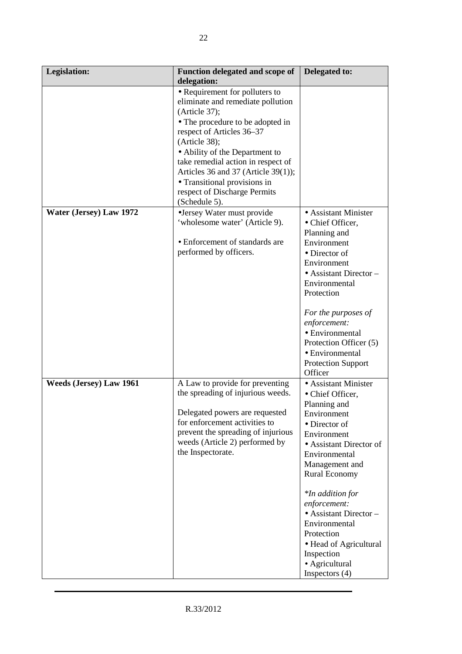| <b>Legislation:</b>            | Function delegated and scope of<br>delegation:                                                                                                                                                                                                                                                                                                                         | Delegated to:                                                                                                                                                                                                            |
|--------------------------------|------------------------------------------------------------------------------------------------------------------------------------------------------------------------------------------------------------------------------------------------------------------------------------------------------------------------------------------------------------------------|--------------------------------------------------------------------------------------------------------------------------------------------------------------------------------------------------------------------------|
|                                | • Requirement for polluters to<br>eliminate and remediate pollution<br>(Article 37);<br>• The procedure to be adopted in<br>respect of Articles 36-37<br>(Article 38);<br>• Ability of the Department to<br>take remedial action in respect of<br>Articles 36 and 37 (Article 39(1));<br>• Transitional provisions in<br>respect of Discharge Permits<br>(Schedule 5). |                                                                                                                                                                                                                          |
| Water (Jersey) Law 1972        | •Jersey Water must provide<br>'wholesome water' (Article 9).<br>• Enforcement of standards are<br>performed by officers.                                                                                                                                                                                                                                               | • Assistant Minister<br>• Chief Officer,<br>Planning and<br>Environment<br>• Director of<br>Environment<br>$\bullet$ Assistant Director –<br>Environmental<br>Protection<br>For the purposes of                          |
|                                |                                                                                                                                                                                                                                                                                                                                                                        | enforcement:<br>• Environmental<br>Protection Officer (5)<br>• Environmental<br><b>Protection Support</b><br>Officer                                                                                                     |
| <b>Weeds (Jersey) Law 1961</b> | A Law to provide for preventing<br>the spreading of injurious weeds.<br>Delegated powers are requested<br>for enforcement activities to<br>prevent the spreading of injurious<br>weeds (Article 2) performed by<br>the Inspectorate.                                                                                                                                   | • Assistant Minister<br>• Chief Officer,<br>Planning and<br>Environment<br>• Director of<br>Environment<br>• Assistant Director of<br>Environmental<br>Management and<br><b>Rural Economy</b><br><i>*In addition for</i> |
|                                |                                                                                                                                                                                                                                                                                                                                                                        | enforcement:<br>$\bullet$ Assistant Director -<br>Environmental<br>Protection<br>• Head of Agricultural<br>Inspection<br>• Agricultural<br>Inspectors $(4)$                                                              |